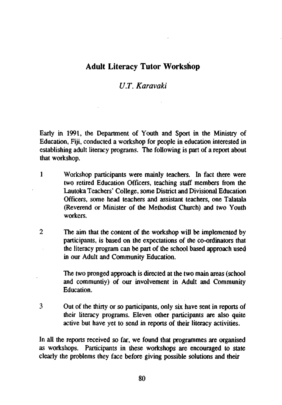## **Adult Literacy Tutor Workshop**

## *U.T. Karavaki*

Early in 1991, the Department of Youth and Sport in the Ministry of Education, Fiji, conducted a workshop for people in education interested in establishing adult literacy programs. The following is part of a report about that workshop.

- 1 Workshop participants were mainly teachers. In fact there were two retired Education Officers, teaching staff members from the Lautoka Teachers' College, some District and Divisional Education Officers, some head teachers and assistant teachers, one Talatala (Reverend or Minister of the Methodist Church) and two Youth workers.
- 2 The aim that the content of the workshop will be implemented by participants, is based on the expectations of the co-ordinators that the literacy program can be part of the school based approach used in our Adult and Community Education.

The two pronged approach is directed at the two main areas (school and communtiy) of our involvement in Adult and Community Education.

3 Out of the thirty or so participants, only six have sent in reports of their literacy programs. Eleven other participants are also quite active but have yet to send in reports of their literacy activities.

In all the reports received so far, we found that programmes are organised as workshops. Participants in these workshops are encouraged to state clearly the problems they face before giving possible solutions and their